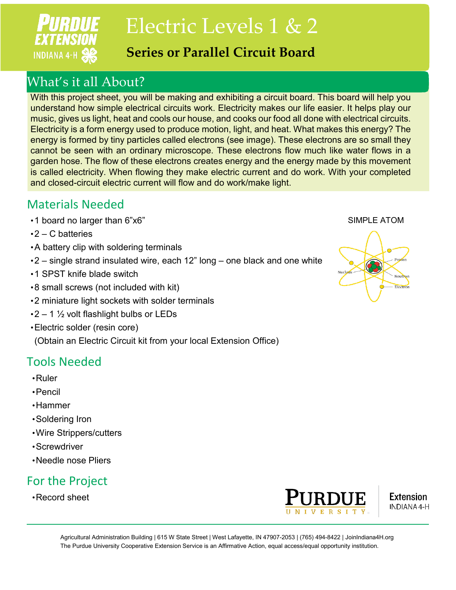

Electric Levels 1 & 2

### **Series or Parallel Circuit Board**

# What's it all About?

With this project sheet, you will be making and exhibiting a circuit board. This board will help you understand how simple electrical circuits work. Electricity makes our life easier. It helps play our music, gives us light, heat and cools our house, and cooks our food all done with electrical circuits. Electricity is a form energy used to produce motion, light, and heat. What makes this energy? The energy is formed by tiny particles called electrons (see image). These electrons are so small they cannot be seen with an ordinary microscope. These electrons flow much like water flows in a garden hose. The flow of these electrons creates energy and the energy made by this movement is called electricity. When flowing they make electric current and do work. With your completed and closed-circuit electric current will flow and do work/make light.

### Materials Needed

- •1 board no larger than 6"x6"
- $\cdot$ 2 C batteries
- •A battery clip with soldering terminals
- •2 single strand insulated wire, each 12" long one black and one white
- •1 SPST knife blade switch
- •8 small screws (not included with kit)
- •2 miniature light sockets with solder terminals
- $\cdot$ 2 1  $\frac{1}{2}$  volt flashlight bulbs or LEDs
- •Electric solder (resin core)

(Obtain an Electric Circuit kit from your local Extension Office)

# Tools Needed

- •Ruler
- •Pencil
- •Hammer
- •Soldering Iron
- •Wire Strippers/cutters
- •Screwdriver
- •Needle nose Pliers

# For the Project

•Record sheet





Agricultural Administration Building | 615 W State Street | West Lafayette, IN 47907-2053 | (765) 494-8422 | JoinIndiana4H.org The Purdue University Cooperative Extension Service is an Affirmative Action, equal access/equal opportunity institution.

#### SIMPLE ATOM

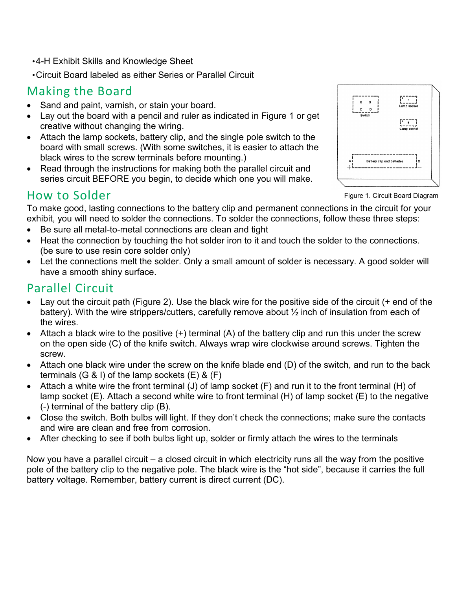•4-H Exhibit Skills and Knowledge Sheet

•Circuit Board labeled as either Series or Parallel Circuit

### Making the Board

- Sand and paint, varnish, or stain your board.
- Lay out the board with a pencil and ruler as indicated in Figure 1 or get creative without changing the wiring.
- Attach the lamp sockets, battery clip, and the single pole switch to the board with small screws. (With some switches, it is easier to attach the black wires to the screw terminals before mounting.)
- Read through the instructions for making both the parallel circuit and series circuit BEFORE you begin, to decide which one you will make.

# **Battery clip and batterie**

### How to Solder

Figure 1. Circuit Board Diagram

To make good, lasting connections to the battery clip and permanent connections in the circuit for your exhibit, you will need to solder the connections. To solder the connections, follow these three steps:

- Be sure all metal-to-metal connections are clean and tight
- Heat the connection by touching the hot solder iron to it and touch the solder to the connections. (be sure to use resin core solder only)
- Let the connections melt the solder. Only a small amount of solder is necessary. A good solder will have a smooth shiny surface.

# Parallel Circuit

- Lay out the circuit path (Figure 2). Use the black wire for the positive side of the circuit (+ end of the battery). With the wire strippers/cutters, carefully remove about ½ inch of insulation from each of the wires.
- Attach a black wire to the positive  $(+)$  terminal  $(A)$  of the battery clip and run this under the screw on the open side (C) of the knife switch. Always wrap wire clockwise around screws. Tighten the screw.
- Attach one black wire under the screw on the knife blade end (D) of the switch, and run to the back terminals  $(G \& I)$  of the lamp sockets  $(E) \& (F)$
- Attach a white wire the front terminal (J) of lamp socket (F) and run it to the front terminal (H) of lamp socket (E). Attach a second white wire to front terminal (H) of lamp socket (E) to the negative (-) terminal of the battery clip (B).
- Close the switch. Both bulbs will light. If they don't check the connections; make sure the contacts and wire are clean and free from corrosion.
- After checking to see if both bulbs light up, solder or firmly attach the wires to the terminals

Now you have a parallel circuit – a closed circuit in which electricity runs all the way from the positive pole of the battery clip to the negative pole. The black wire is the "hot side", because it carries the full battery voltage. Remember, battery current is direct current (DC).